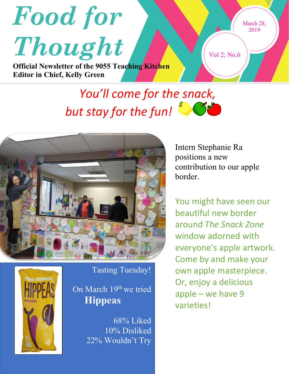

## *You'll come for the snack, but stay for the fun!*



Tasting Tuesday!

On March 19<sup>th</sup> we tried **Hippeas**

> 68% Liked 10% Disliked 22% Wouldn't Try

Intern Stephanie Ra positions a new contribution to our apple border.

You might have seen our beautiful new border around *The Snack Zone* window adorned with everyone's apple artwork. Come by and make your own apple masterpiece. Or, enjoy a delicious apple – we have 9 varieties!